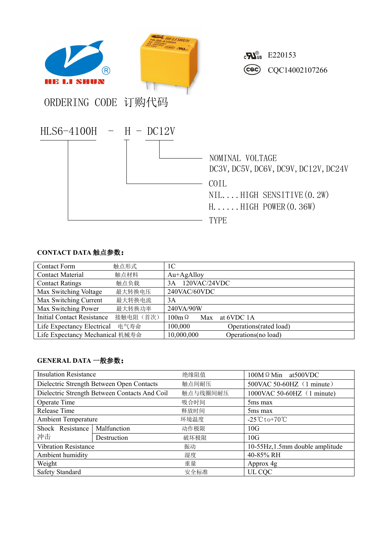

## **CONTACT DATA** 触点参数:

| <b>Contact Form</b>             | 触点形式      | 1C                                |
|---------------------------------|-----------|-----------------------------------|
| <b>Contact Material</b>         | 触点材料      | $Au+AgAlloy$                      |
| <b>Contact Ratings</b>          | 触点负载      | 120VAC/24VDC<br>3A                |
| Max Switching Voltage           | 最大转换电压    | 240VAC/60VDC                      |
| Max Switching Current           | 最大转换电流    | 3A                                |
| Max Switching Power             | 最大转换功率    | 240VA/90W                         |
| Initial Contact Resistance      | 接触电阻 (首次) | at 6VDC 1A<br>$100m\Omega$<br>Max |
| Life Expectancy Electrical      | 电气寿命      | 100,000<br>Operations(rated load) |
| Life Expectancy Mechanical 机械寿命 |           | 10,000,000<br>Operations(no load) |

## **GENERAL DATA** 一般参数:

| <b>Insulation Resistance</b>                  |             | 绝缘阻值     | $100M \Omega$ Min at 500 VDC                    |  |
|-----------------------------------------------|-------------|----------|-------------------------------------------------|--|
| Dielectric Strength Between Open Contacts     |             | 触点间耐压    | 500VAC 50-60HZ (1 minute)                       |  |
| Dielectric Strength Between Contacts And Coil |             | 触点与线圈间耐压 | $1000\text{VAC }50-60\text{HZ }$ (1 minute)     |  |
| Operate Time                                  |             | 吸合时间     | 5 <sub>ms</sub> max                             |  |
| Release Time                                  |             | 释放时间     | 5 <sub>ms</sub> max                             |  |
| <b>Ambient Temperature</b>                    |             | 环境温度     | $-25^{\circ}\text{C}$ to +70 $^{\circ}\text{C}$ |  |
| Shock Resistance                              | Malfunction | 动作极限     | 10G                                             |  |
| 冲击                                            | Destruction | 破坏极限     | 10G                                             |  |
| <b>Vibration Resistance</b>                   |             | 振动       | 10-55Hz, 1.5mm double amplitude                 |  |
| Ambient humidity                              |             | 湿度       | 40-85% RH                                       |  |
| Weight                                        |             | 重量       | Approx 4g                                       |  |
| Safety Standard                               |             | 安全标准     | UL CQC                                          |  |